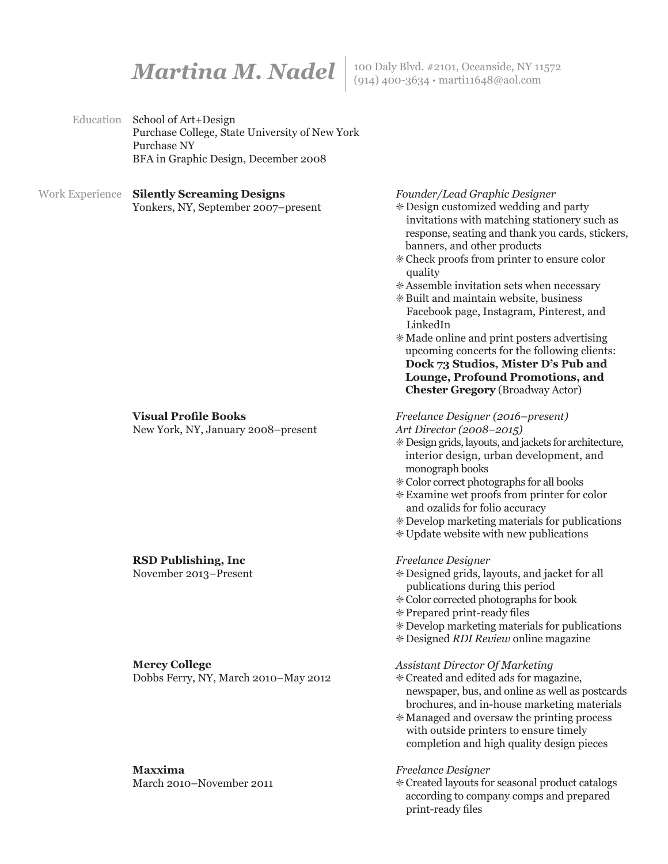**Martina M. Nadel** | 100 Daly Blvd. #2101, Oceanside, NY 11572

Education School of Art+Design Purchase College, State University of New York Purchase NY BFA in Graphic Design, December 2008

#### Work Experience **Silently Screaming Designs** Yonkers, NY, September 2007–present

## **Visual Profile Books**

New York, NY, January 2008–present

#### **RSD Publishing, Inc**

November 2013–Present

#### **Mercy College**

Dobbs Ferry, NY, March 2010–May 2012

# **Maxxima**

March 2010–November 2011

*Founder/Lead Graphic Designer*

- ' Design customized wedding and party invitations with matching stationery such as response, seating and thank you cards, stickers, banners, and other products
- ' Check proofs from printer to ensure color quality
- ' Assemble invitation sets when necessary
- ' Built and maintain website, business Facebook page, Instagram, Pinterest, and LinkedIn
- ' Made online and print posters advertising upcoming concerts for the following clients: **Dock 73 Studios, Mister D's Pub and Lounge, Profound Promotions, and Chester Gregory** (Broadway Actor)

# *Freelance Designer (2016–present)*

- *Art Director (2008–2015)*
- ' Design grids, layouts, and jackets for architecture, interior design, urban development, and monograph books
- ' Color correct photographs for all books
- ' Examine wet proofs from printer for color and ozalids for folio accuracy
- ' Develop marketing materials for publications
- ' Update website with new publications

#### *Freelance Designer*

- ' Designed grids, layouts, and jacket for all publications during this period
- ' Color corrected photographs for book
- ' Prepared print-ready files
- ' Develop marketing materials for publications
- ' Designed *RDI Review* online magazine

#### *Assistant Director Of Marketing*

- ' Created and edited ads for magazine, newspaper, bus, and online as well as postcards brochures, and in-house marketing materials
- ' Managed and oversaw the printing process with outside printers to ensure timely completion and high quality design pieces

#### *Freelance Designer*

' Created layouts for seasonal product catalogs according to company comps and prepared print-ready files